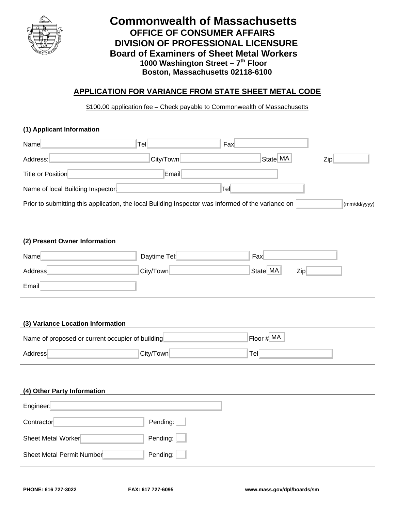

# **Commonwealth of Massachusetts OFFICE OF CONSUMER AFFAIRS DIVISION OF PROFESSIONAL LICENSURE Board of Examiners of Sheet Metal Workers** 1000 Washington Street - 7<sup>th</sup> Floor  **Boston, Massachusetts 02118-6100**

## **APPLICATION FOR VARIANCE FROM STATE SHEET METAL CODE**

\$100.00 application fee – Check payable to Commonwealth of Massachusetts

### **(1) Applicant Information**

| Name                                                                                                                             | Tell      | Fax  |          |     |
|----------------------------------------------------------------------------------------------------------------------------------|-----------|------|----------|-----|
| Address:                                                                                                                         | City/Town |      | State MA | Zip |
| Title or Position                                                                                                                | Email     |      |          |     |
| Name of local Building Inspector                                                                                                 |           | Tell |          |     |
| Prior to submitting this application, the local Building Inspector was informed of the variance on<br>$\frac{1}{2}$ (mm/dd/yyyy) |           |      |          |     |

#### **(2) Present Owner Information**

| Name                                             | Daytime Tel | Fax           |     |
|--------------------------------------------------|-------------|---------------|-----|
| Address                                          | City/Town   | State MA      | Zip |
| Email                                            |             |               |     |
|                                                  |             |               |     |
| (3) Variance Location Information                |             |               |     |
| Name of proposed or current occupier of building |             | $Floor \# MA$ |     |

#### **(3) Variance Location Information**

| Name of proposed or current occupier of building |           | $Floor \# MA$               |
|--------------------------------------------------|-----------|-----------------------------|
| Address                                          | City/Town | $\mathsf{Tel}_{\mathsf{L}}$ |

#### **(4) Other Party Information**

| Engineer                  |          |
|---------------------------|----------|
| Contractor                | Pending: |
| Sheet Metal Worker        | Pending: |
| Sheet Metal Permit Number | Pending: |